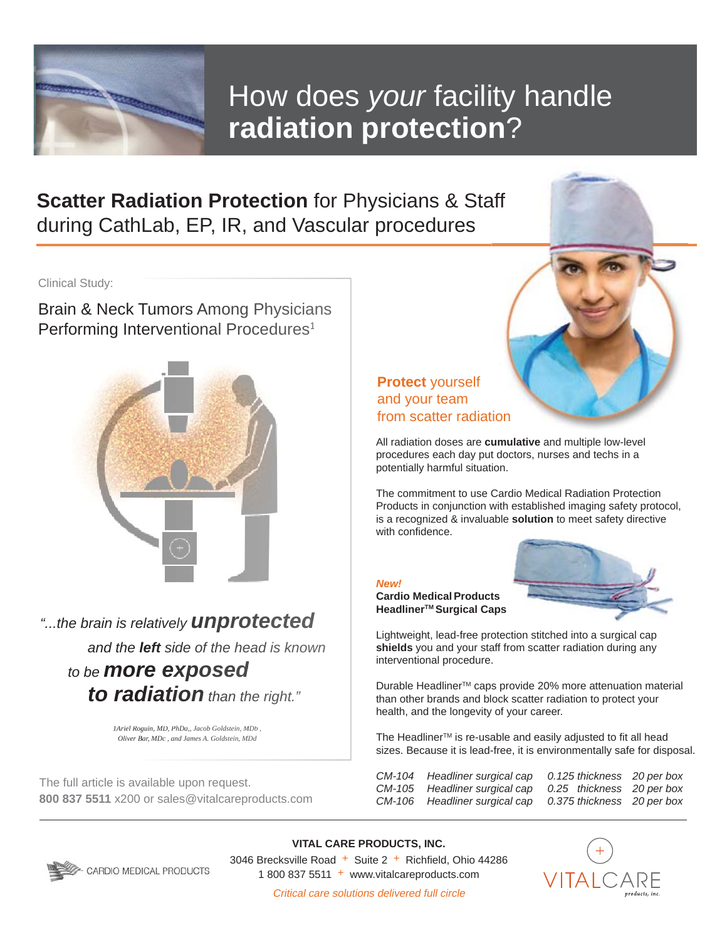

## How does *your* facility handle **radiation protection**?

**Scatter Radiation Protection** for Physicians & Staff during CathLab, EP, IR, and Vascular procedures

Clinical Study:

Brain & Neck Tumors Among Physicians Performing Interventional Procedures<sup>1</sup> <sup>Study:</sup><br>& Neck Tumors Am<br>ming Interventional &



*"...the brain is relatively unprotected b and the left side of the head is known a to be more exposed b to radiation than the right."Barries in the left side of the head is known*<br> *Barry Bar Comment Comment of the and is known***<br>
<b>Exposed**<br> **Exposed**<br> **Expositer** *Raysuin, MD, PhDa, Jacob Goldstein, MDb***,<br>** *Diver Bar, MDc, and James A. Goldstein, MDb***,** *more* exposed<br>*radiation* than the right.

*1Ariel Roguin, MD, PhDa,, Jacob Goldstein, MDb , 1Ariel MDb , Oliver Bar, MDc , and James A. Goldstein, MDd*

The full article is available upon request. **800 837 5511** x200 or sales@vitalcareproducts.com

## **Protect** yourself and your team from scatter radiation

All radiation doses are **cumulative** and multiple low-level procedures each day put doctors, nurses and techs in a potentially harmful situation.

The commitment to use Cardio Medical Radiation Protection Products in conjunction with established imaging safety protocol, is a recognized & invaluable **solution** to meet safety directive with confidence.

*New!*

**Cardio MedicalProducts HeadlinerTM Surgical Caps**



Lightweight, lead-free protection stitched into a surgical cap **shields** you and your staff from scatter radiation during any interventional procedure.

Durable Headliner<sup>™</sup> caps provide 20% more attenuation material than other brands and block scatter radiation to protect your health, and the longevity of your career.

The Headliner<sup>™</sup> is re-usable and easily adjusted to fit all head sizes. Because it is lead-free, it is environmentally safe for disposal.

| $CM-104$ Headliner surgical cap 0.125 thickness 20 per box |  |
|------------------------------------------------------------|--|
| CM-105 Headliner surgical cap 0.25 thickness 20 per box    |  |
| CM-106 Headliner surgical cap 0.375 thickness 20 per box   |  |



**VITAL CARE PRODUCTS, INC.** 3046 Brecksville Road + Suite 2 + Richfield, Ohio 44286 1 800 837 5511 + www.vitalcareproducts.com



Critical care solutions delivered full circle